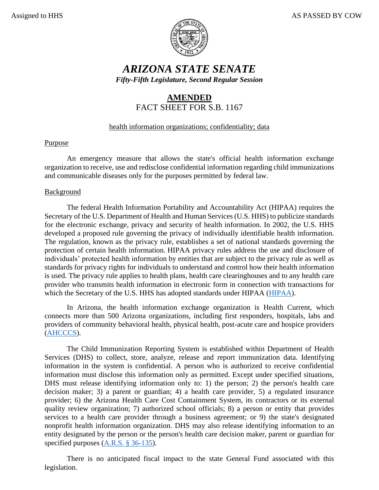

# *ARIZONA STATE SENATE Fifty-Fifth Legislature, Second Regular Session*

## **AMENDED** FACT SHEET FOR S.B. 1167

### health information organizations; confidentiality; data

### Purpose

An emergency measure that allows the state's official health information exchange organization to receive, use and redisclose confidential information regarding child immunizations and communicable diseases only for the purposes permitted by federal law.

### Background

The federal Health Information Portability and Accountability Act (HIPAA) requires the Secretary of the U.S. Department of Health and Human Services (U.S. HHS) to publicize standards for the electronic exchange, privacy and security of health information. In 2002, the U.S. HHS developed a proposed rule governing the privacy of individually identifiable health information. The regulation, known as the privacy rule, establishes a set of national standards governing the protection of certain health information. HIPAA privacy rules address the use and disclosure of individuals' protected health information by entities that are subject to the privacy rule as well as standards for privacy rights for individuals to understand and control how their health information is used. The privacy rule applies to health plans, health care clearinghouses and to any health care provider who transmits health information in electronic form in connection with transactions for which the Secretary of the U.S. HHS has adopted standards under HIPAA [\(HIPAA\)](https://www.hhs.gov/sites/default/files/privacysummary.pdf).

In Arizona, the health information exchange organization is Health Current, which connects more than 500 Arizona organizations, including first responders, hospitals, labs and providers of community behavioral health, physical health, post-acute care and hospice providers [\(AHCCCS\)](https://www.azahcccs.gov/AHCCCS/Initiatives/HIT/HIE.html).

The Child Immunization Reporting System is established within Department of Health Services (DHS) to collect, store, analyze, release and report immunization data. Identifying information in the system is confidential. A person who is authorized to receive confidential information must disclose this information only as permitted. Except under specified situations, DHS must release identifying information only to: 1) the person; 2) the person's health care decision maker; 3) a parent or guardian; 4) a health care provider, 5) a regulated insurance provider; 6) the Arizona Health Care Cost Containment System, its contractors or its external quality review organization; 7) authorized school officials; 8) a person or entity that provides services to a health care provider through a business agreement; or 9) the state's designated nonprofit health information organization. DHS may also release identifying information to an entity designated by the person or the person's health care decision maker, parent or guardian for specified purposes [\(A.R.S. § 36-135\)](https://www.azleg.gov/viewdocument/?docName=https://www.azleg.gov/ars/36/00135.htm).

There is no anticipated fiscal impact to the state General Fund associated with this legislation.